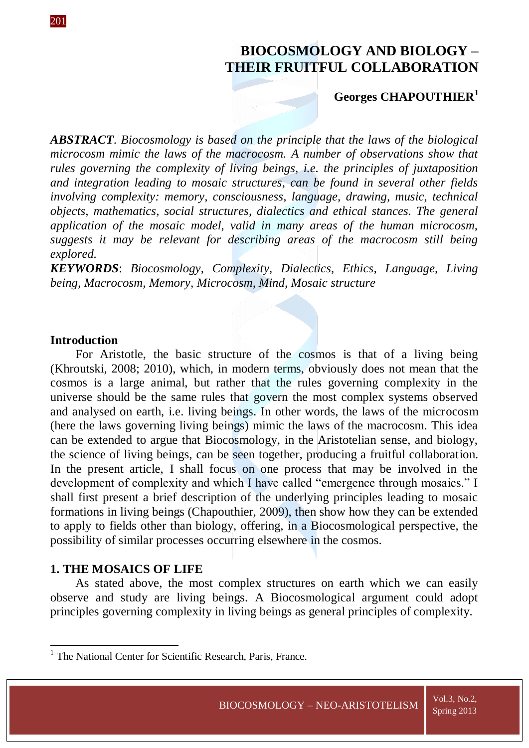# **BIOCOSMOLOGY AND BIOLOGY – THEIR FRUITFUL COLLABORATION**

## **Georges CHAPOUTHIER<sup>1</sup>**

*ABSTRACT*. *Biocosmology is based on the principle that the laws of the biological microcosm mimic the laws of the macrocosm. A number of observations show that rules governing the complexity of living beings, i.e. the principles of juxtaposition and integration leading to mosaic structures, can be found in several other fields involving complexity: memory, consciousness, language, drawing, music, technical objects, mathematics, social structures, dialectics and ethical stances. The general application of the mosaic model, valid in many areas of the human microcosm, suggests it may be relevant for describing areas of the macrocosm still being explored.* 

*KEYWORDS*: *Biocosmology, Complexity, Dialectics, Ethics, Language, Living being, Macrocosm, Memory, Microcosm, Mind, Mosaic structure*

## **Introduction**

For Aristotle, the basic structure of the cosmos is that of a living being (Khroutski, 2008; 2010), which, in modern terms, obviously does not mean that the cosmos is a large animal, but rather that the rules governing complexity in the universe should be the same rules that govern the most complex systems observed and analysed on earth, i.e. living beings. In other words, the laws of the microcosm (here the laws governing living beings) mimic the laws of the macrocosm. This idea can be extended to argue that Biocosmology, in the Aristotelian sense, and biology, the science of living beings, can be seen together, producing a fruitful collaboration. In the present article, I shall focus on one process that may be involved in the development of complexity and which I have called "emergence through mosaics." I shall first present a brief description of the underlying principles leading to mosaic formations in living beings (Chapouthier, 2009), then show how they can be extended to apply to fields other than biology, offering, in a Biocosmological perspective, the possibility of similar processes occurring elsewhere in the cosmos.

## **1. THE MOSAICS OF LIFE**

**.** 

As stated above, the most complex structures on earth which we can easily observe and study are living beings. A Biocosmological argument could adopt principles governing complexity in living beings as general principles of complexity.

<sup>&</sup>lt;sup>1</sup> The National Center for Scientific Research, Paris, France.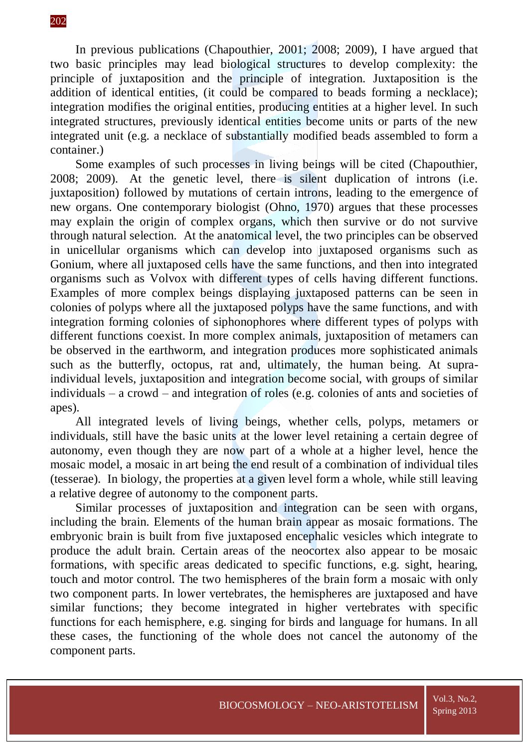In previous publications (Chapouthier, 2001; 2008; 2009), I have argued that two basic principles may lead biological structures to develop complexity: the principle of juxtaposition and the principle of integration. Juxtaposition is the addition of identical entities, (it could be compared to beads forming a necklace); integration modifies the original entities, producing entities at a higher level. In such integrated structures, previously identical entities become units or parts of the new integrated unit (e.g. a necklace of substantially modified beads assembled to form a container.)

Some examples of such processes in living beings will be cited (Chapouthier, 2008; 2009). At the genetic level, there is silent duplication of introns (i.e. juxtaposition) followed by mutations of certain introns, leading to the emergence of new organs. One contemporary biologist (Ohno, 1970) argues that these processes may explain the origin of complex organs, which then survive or do not survive through natural selection. At the anatomical level, the two principles can be observed in unicellular organisms which can develop into juxtaposed organisms such as Gonium, where all juxtaposed cells have the same functions, and then into integrated organisms such as Volvox with different types of cells having different functions. Examples of more complex beings displaying juxtaposed patterns can be seen in colonies of polyps where all the juxtaposed polyps have the same functions, and with integration forming colonies of siphonophores where different types of polyps with different functions coexist. In more complex animals, juxtaposition of metamers can be observed in the earthworm, and integration produces more sophisticated animals such as the butterfly, octopus, rat and, ultimately, the human being. At supraindividual levels, juxtaposition and integration become social, with groups of similar individuals – a crowd – and integration of roles (e.g. colonies of ants and societies of apes).

All integrated levels of living beings, whether cells, polyps, metamers or individuals, still have the basic units at the lower level retaining a certain degree of autonomy, even though they are now part of a whole at a higher level, hence the mosaic model, a mosaic in art being the end result of a combination of individual tiles (tesserae). In biology, the properties at a given level form a whole, while still leaving a relative degree of autonomy to the component parts.

Similar processes of juxtaposition and integration can be seen with organs, including the brain. Elements of the human brain appear as mosaic formations. The embryonic brain is built from five juxtaposed encephalic vesicles which integrate to produce the adult brain. Certain areas of the neocortex also appear to be mosaic formations, with specific areas dedicated to specific functions, e.g. sight, hearing, touch and motor control. The two hemispheres of the brain form a mosaic with only two component parts. In lower vertebrates, the hemispheres are juxtaposed and have similar functions; they become integrated in higher vertebrates with specific functions for each hemisphere, e.g. singing for birds and language for humans. In all these cases, the functioning of the whole does not cancel the autonomy of the component parts.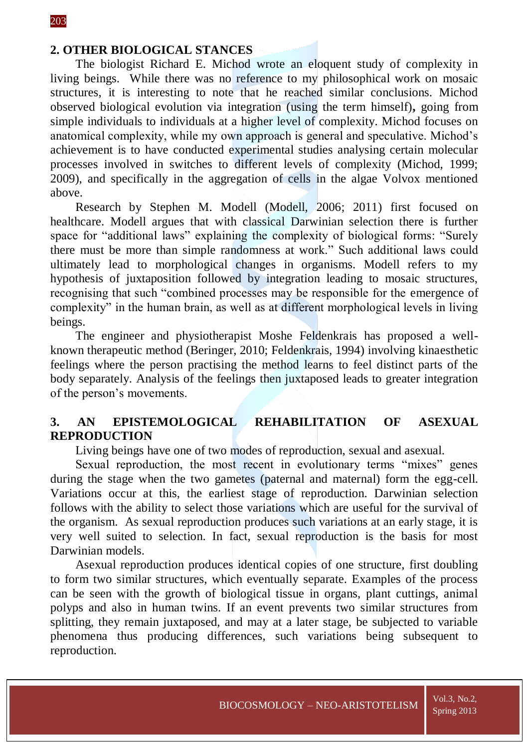## **2. OTHER BIOLOGICAL STANCES**

The biologist Richard E. Michod wrote an eloquent study of complexity in living beings. While there was no reference to my philosophical work on mosaic structures, it is interesting to note that he reached similar conclusions. Michod observed biological evolution via integration (using the term himself)**,** going from simple individuals to individuals at a higher level of complexity. Michod focuses on anatomical complexity, while my own approach is general and speculative. Michod's achievement is to have conducted experimental studies analysing certain molecular processes involved in switches to different levels of complexity (Michod, 1999; 2009), and specifically in the aggregation of cells in the algae Volvox mentioned above.

Research by Stephen M. Modell (Modell, 2006; 2011) first focused on healthcare. Modell argues that with classical Darwinian selection there is further space for "additional laws" explaining the complexity of biological forms: "Surely there must be more than simple randomness at work." Such additional laws could ultimately lead to morphological changes in organisms. Modell refers to my hypothesis of juxtaposition followed by integration leading to mosaic structures, recognising that such "combined processes may be responsible for the emergence of complexity" in the human brain, as well as at different morphological levels in living beings.

The engineer and physiotherapist Moshe Feldenkrais has proposed a wellknown therapeutic method (Beringer, 2010; Feldenkrais, 1994) involving kinaesthetic feelings where the person practising the method learns to feel distinct parts of the body separately. Analysis of the feelings then juxtaposed leads to greater integration of the person's movements.

## **3. AN EPISTEMOLOGICAL REHABILITATION OF ASEXUAL REPRODUCTION**

Living beings have one of two modes of reproduction, sexual and asexual.

Sexual reproduction, the most recent in evolutionary terms "mixes" genes during the stage when the two gametes (paternal and maternal) form the egg-cell. Variations occur at this, the earliest stage of reproduction. Darwinian selection follows with the ability to select those variations which are useful for the survival of the organism. As sexual reproduction produces such variations at an early stage, it is very well suited to selection. In fact, sexual reproduction is the basis for most Darwinian models.

Asexual reproduction produces identical copies of one structure, first doubling to form two similar structures, which eventually separate. Examples of the process can be seen with the growth of biological tissue in organs, plant cuttings, animal polyps and also in human twins. If an event prevents two similar structures from splitting, they remain juxtaposed, and may at a later stage, be subjected to variable phenomena thus producing differences, such variations being subsequent to reproduction.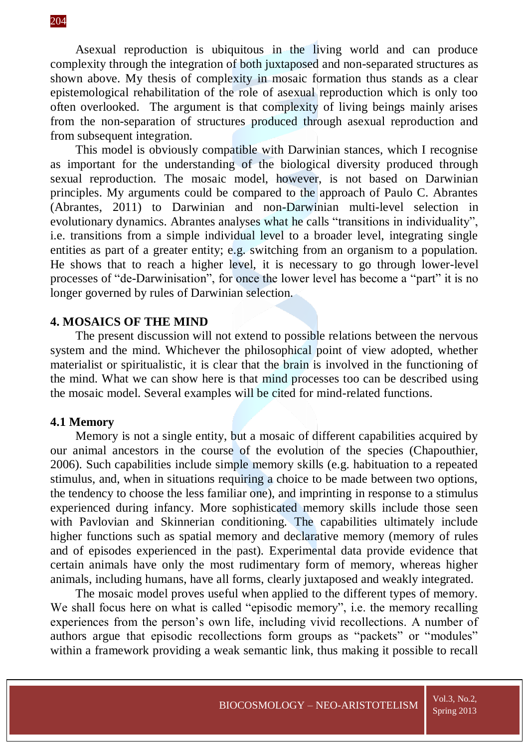Asexual reproduction is ubiquitous in the living world and can produce complexity through the integration of both juxtaposed and non-separated structures as shown above. My thesis of complexity in mosaic formation thus stands as a clear epistemological rehabilitation of the role of asexual reproduction which is only too often overlooked. The argument is that complexity of living beings mainly arises from the non-separation of structures produced through asexual reproduction and from subsequent integration.

This model is obviously compatible with Darwinian stances, which I recognise as important for the understanding of the biological diversity produced through sexual reproduction. The mosaic model, however, is not based on Darwinian principles. My arguments could be compared to the approach of Paulo C. Abrantes (Abrantes, 2011) to Darwinian and non-Darwinian multi-level selection in evolutionary dynamics. Abrantes analyses what he calls "transitions in individuality", i.e. transitions from a simple individual level to a broader level, integrating single entities as part of a greater entity; e.g. switching from an organism to a population. He shows that to reach a higher level, it is necessary to go through lower-level processes of "de-Darwinisation", for once the lower level has become a "part" it is no longer governed by rules of Darwinian selection.

#### **4. MOSAICS OF THE MIND**

The present discussion will not extend to possible relations between the nervous system and the mind. Whichever the philosophical point of view adopted, whether materialist or spiritualistic, it is clear that the brain is involved in the functioning of the mind. What we can show here is that mind processes too can be described using the mosaic model. Several examples will be cited for mind-related functions.

#### **4.1 Memory**

Memory is not a single entity, but a mosaic of different capabilities acquired by our animal ancestors in the course of the evolution of the species (Chapouthier, 2006). Such capabilities include simple memory skills (e.g. habituation to a repeated stimulus, and, when in situations requiring a choice to be made between two options, the tendency to choose the less familiar one), and imprinting in response to a stimulus experienced during infancy. More sophisticated memory skills include those seen with Pavlovian and Skinnerian conditioning. The capabilities ultimately include higher functions such as spatial memory and declarative memory (memory of rules and of episodes experienced in the past). Experimental data provide evidence that certain animals have only the most rudimentary form of memory, whereas higher animals, including humans, have all forms, clearly juxtaposed and weakly integrated.

The mosaic model proves useful when applied to the different types of memory. We shall focus here on what is called "episodic memory", i.e. the memory recalling experiences from the person's own life, including vivid recollections. A number of authors argue that episodic recollections form groups as "packets" or "modules" within a framework providing a weak semantic link, thus making it possible to recall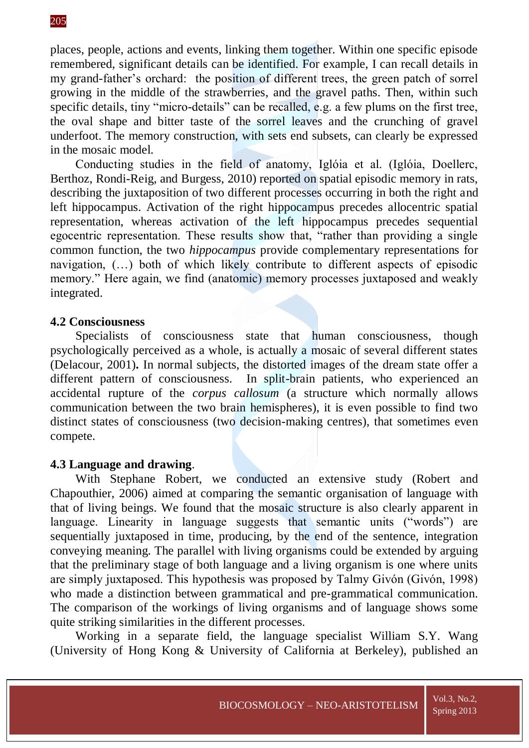places, people, actions and events, linking them together. Within one specific episode remembered, significant details can be identified. For example, I can recall details in my grand-father's orchard: the position of different trees, the green patch of sorrel growing in the middle of the strawberries, and the gravel paths. Then, within such specific details, tiny "micro-details" can be recalled, e.g. a few plums on the first tree, the oval shape and bitter taste of the sorrel leaves and the crunching of gravel underfoot. The memory construction, with sets end subsets, can clearly be expressed in the mosaic model.

Conducting studies in the field of anatomy, Iglóia et al. (Iglóia, Doellerc, Berthoz, Rondi-Reig, and Burgess, 2010) reported on spatial episodic memory in rats, describing the juxtaposition of two different processes occurring in both the right and left hippocampus. Activation of the right hippocampus precedes allocentric spatial representation, whereas activation of the left hippocampus precedes sequential egocentric representation. These results show that, "rather than providing a single common function, the two *hippocampus* provide complementary representations for navigation, (…) both of which likely contribute to different aspects of episodic memory." Here again, we find (anatomic) memory processes juxtaposed and weakly integrated.

## **4.2 Consciousness**

Specialists of consciousness state that human consciousness, though psychologically perceived as a whole, is actually a mosaic of several different states (Delacour, 2001)**.** In normal subjects, the distorted images of the dream state offer a different pattern of consciousness. In split-brain patients, who experienced an accidental rupture of the *corpus callosum* (a structure which normally allows communication between the two brain hemispheres), it is even possible to find two distinct states of consciousness (two decision-making centres), that sometimes even compete.

## **4.3 Language and drawing**.

With Stephane Robert, we conducted an extensive study (Robert and Chapouthier, 2006) aimed at comparing the semantic organisation of language with that of living beings. We found that the mosaic structure is also clearly apparent in language. Linearity in language suggests that semantic units ("words") are sequentially juxtaposed in time, producing, by the end of the sentence, integration conveying meaning. The parallel with living organisms could be extended by arguing that the preliminary stage of both language and a living organism is one where units are simply juxtaposed. This hypothesis was proposed by Talmy Givón (Givón, 1998) who made a distinction between grammatical and pre-grammatical communication. The comparison of the workings of living organisms and of language shows some quite striking similarities in the different processes.

Working in a separate field, the language specialist William S.Y. Wang (University of Hong Kong & University of California at Berkeley), published an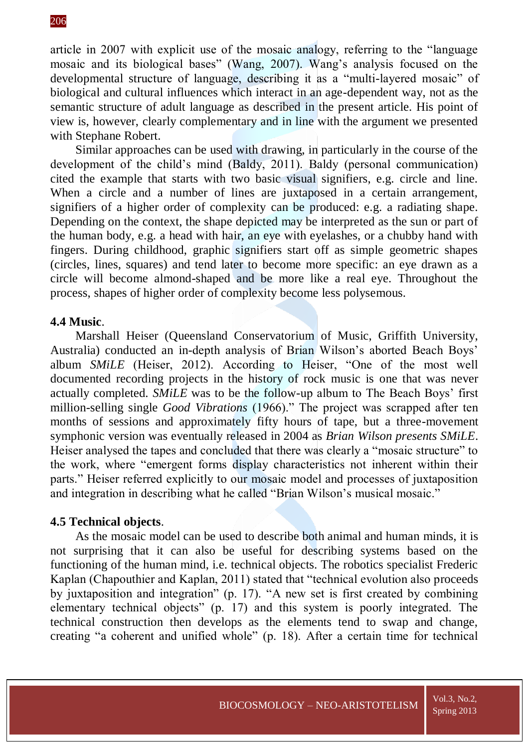article in 2007 with explicit use of the mosaic analogy, referring to the "language mosaic and its biological bases" (Wang, 2007). Wang's analysis focused on the developmental structure of language, describing it as a "multi-layered mosaic" of biological and cultural influences which interact in an age-dependent way, not as the semantic structure of adult language as described in the present article. His point of view is, however, clearly complementary and in line with the argument we presented with Stephane Robert.

Similar approaches can be used with drawing, in particularly in the course of the development of the child's mind (Baldy, 2011). Baldy (personal communication) cited the example that starts with two basic visual signifiers, e.g. circle and line. When a circle and a number of lines are juxtaposed in a certain arrangement, signifiers of a higher order of complexity can be produced: e.g. a radiating shape. Depending on the context, the shape depicted may be interpreted as the sun or part of the human body, e.g. a head with hair, an eye with eyelashes, or a chubby hand with fingers. During childhood, graphic signifiers start off as simple geometric shapes (circles, lines, squares) and tend later to become more specific: an eye drawn as a circle will become almond-shaped and be more like a real eye. Throughout the process, shapes of higher order of complexity become less polysemous.

#### **4.4 Music**.

Marshall Heiser (Queensland Conservatorium of Music, Griffith University, Australia) conducted an in-depth analysis of Brian Wilson's aborted Beach Boys' album *SMiLE* (Heiser, 2012). According to Heiser, "One of the most well documented recording projects in the history of rock music is one that was never actually completed. *SMiLE* was to be the follow-up album to The Beach Boys' first million-selling single *Good Vibrations* (1966)." The project was scrapped after ten months of sessions and approximately fifty hours of tape, but a three-movement symphonic version was eventually released in 2004 as *Brian Wilson presents SMiLE*. Heiser analysed the tapes and concluded that there was clearly a "mosaic structure" to the work, where "emergent forms display characteristics not inherent within their parts." Heiser referred explicitly to our mosaic model and processes of juxtaposition and integration in describing what he called "Brian Wilson's musical mosaic."

#### **4.5 Technical objects**.

As the mosaic model can be used to describe both animal and human minds, it is not surprising that it can also be useful for describing systems based on the functioning of the human mind, i.e. technical objects. The robotics specialist Frederic Kaplan (Chapouthier and Kaplan, 2011) stated that "technical evolution also proceeds by juxtaposition and integration" (p. 17). "A new set is first created by combining elementary technical objects" (p. 17) and this system is poorly integrated. The technical construction then develops as the elements tend to swap and change, creating "a coherent and unified whole" (p. 18). After a certain time for technical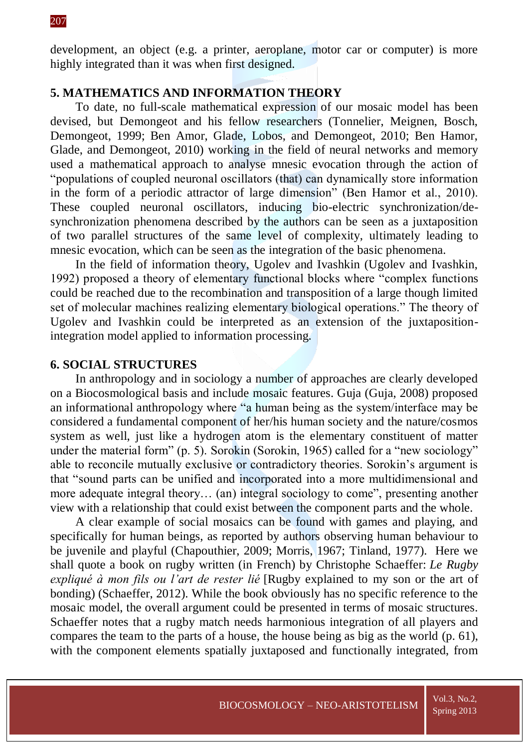development, an object (e.g. a printer, aeroplane, motor car or computer) is more highly integrated than it was when first designed.

## **5. MATHEMATICS AND INFORMATION THEORY**

To date, no full-scale mathematical expression of our mosaic model has been devised, but Demongeot and his fellow researchers (Tonnelier, Meignen, Bosch, Demongeot, 1999; Ben Amor, Glade, Lobos, and Demongeot, 2010; Ben Hamor, Glade, and Demongeot, 2010) working in the field of neural networks and memory used a mathematical approach to analyse mnesic evocation through the action of "populations of coupled neuronal oscillators (that) can dynamically store information in the form of a periodic attractor of large dimension" (Ben Hamor et al., 2010). These coupled neuronal oscillators, inducing bio-electric synchronization/desynchronization phenomena described by the authors can be seen as a juxtaposition of two parallel structures of the same level of complexity, ultimately leading to mnesic evocation, which can be seen as the integration of the basic phenomena.

In the field of information theory, Ugolev and Ivashkin (Ugolev and Ivashkin, 1992) proposed a theory of elementary functional blocks where "complex functions could be reached due to the recombination and transposition of a large though limited set of molecular machines realizing elementary biological operations." The theory of Ugolev and Ivashkin could be interpreted as an extension of the juxtapositionintegration model applied to information processing.

#### **6. SOCIAL STRUCTURES**

In anthropology and in sociology a number of approaches are clearly developed on a Biocosmological basis and include mosaic features. Guja (Guja, 2008) proposed an informational anthropology where "a human being as the system/interface may be considered a fundamental component of her/his human society and the nature/cosmos system as well, just like a hydrogen atom is the elementary constituent of matter under the material form" (p. 5). Sorokin (Sorokin, 1965) called for a "new sociology" able to reconcile mutually exclusive or contradictory theories. Sorokin's argument is that "sound parts can be unified and incorporated into a more multidimensional and more adequate integral theory… (an) integral sociology to come", presenting another view with a relationship that could exist between the component parts and the whole.

A clear example of social mosaics can be found with games and playing, and specifically for human beings, as reported by authors observing human behaviour to be juvenile and playful (Chapouthier, 2009; Morris, 1967; Tinland, 1977). Here we shall quote a book on rugby written (in French) by Christophe Schaeffer: *Le Rugby expliqué à mon fils ou l'art de rester lié* [Rugby explained to my son or the art of bonding) (Schaeffer, 2012). While the book obviously has no specific reference to the mosaic model, the overall argument could be presented in terms of mosaic structures. Schaeffer notes that a rugby match needs harmonious integration of all players and compares the team to the parts of a house, the house being as big as the world (p. 61), with the component elements spatially juxtaposed and functionally integrated, from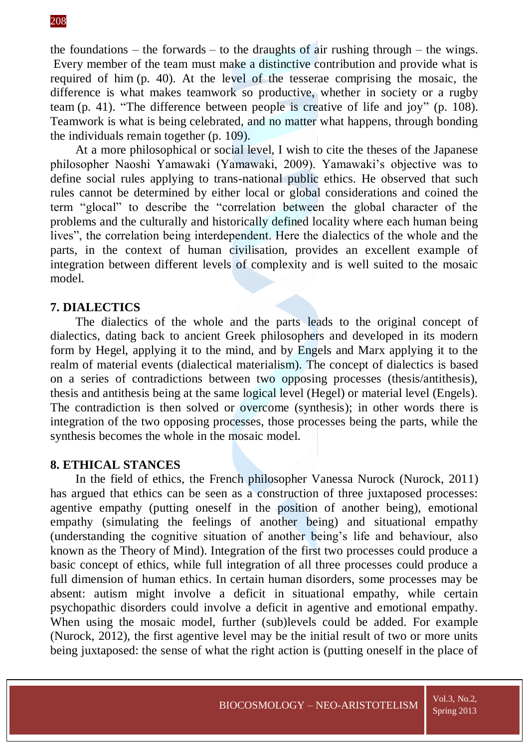the foundations – the forwards – to the draughts of air rushing through – the wings. Every member of the team must make a distinctive contribution and provide what is required of him (p. 40). At the level of the tesserae comprising the mosaic, the difference is what makes teamwork so productive, whether in society or a rugby team (p. 41). "The difference between people is creative of life and joy" (p. 108). Teamwork is what is being celebrated, and no matter what happens, through bonding the individuals remain together (p. 109).

At a more philosophical or social level, I wish to cite the theses of the Japanese philosopher Naoshi Yamawaki (Yamawaki, 2009). Yamawaki's objective was to define social rules applying to trans-national public ethics. He observed that such rules cannot be determined by either local or global considerations and coined the term "glocal" to describe the "correlation between the global character of the problems and the culturally and historically defined locality where each human being lives", the correlation being interdependent. Here the dialectics of the whole and the parts, in the context of human civilisation, provides an excellent example of integration between different levels of complexity and is well suited to the mosaic model.

## **7. DIALECTICS**

The dialectics of the whole and the parts leads to the original concept of dialectics, dating back to ancient Greek philosophers and developed in its modern form by Hegel, applying it to the mind, and by Engels and Marx applying it to the realm of material events (dialectical materialism). The concept of dialectics is based on a series of contradictions between two opposing processes (thesis/antithesis), thesis and antithesis being at the same logical level (Hegel) or material level (Engels). The contradiction is then solved or overcome (synthesis); in other words there is integration of the two opposing processes, those processes being the parts, while the synthesis becomes the whole in the mosaic model.

## **8. ETHICAL STANCES**

In the field of ethics, the French philosopher Vanessa Nurock (Nurock, 2011) has argued that ethics can be seen as a construction of three juxtaposed processes: agentive empathy (putting oneself in the position of another being), emotional empathy (simulating the feelings of another being) and situational empathy (understanding the cognitive situation of another being's life and behaviour, also known as the Theory of Mind). Integration of the first two processes could produce a basic concept of ethics, while full integration of all three processes could produce a full dimension of human ethics. In certain human disorders, some processes may be absent: autism might involve a deficit in situational empathy, while certain psychopathic disorders could involve a deficit in agentive and emotional empathy. When using the mosaic model, further (sub)levels could be added. For example (Nurock, 2012), the first agentive level may be the initial result of two or more units being juxtaposed: the sense of what the right action is (putting oneself in the place of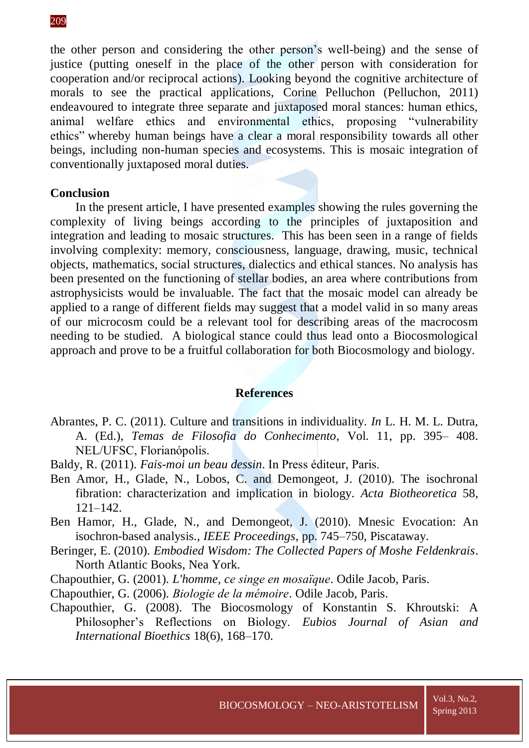the other person and considering the other person's well-being) and the sense of justice (putting oneself in the place of the other person with consideration for cooperation and/or reciprocal actions). Looking beyond the cognitive architecture of morals to see the practical applications, Corine Pelluchon (Pelluchon, 2011) endeavoured to integrate three separate and juxtaposed moral stances: human ethics, animal welfare ethics and environmental ethics, proposing "vulnerability ethics" whereby human beings have a clear a moral responsibility towards all other beings, including non-human species and ecosystems. This is mosaic integration of conventionally juxtaposed moral duties.

## **Conclusion**

In the present article, I have presented examples showing the rules governing the complexity of living beings according to the principles of juxtaposition and integration and leading to mosaic structures. This has been seen in a range of fields involving complexity: memory, consciousness, language, drawing, music, technical objects, mathematics, social structures, dialectics and ethical stances. No analysis has been presented on the functioning of stellar bodies, an area where contributions from astrophysicists would be invaluable. The fact that the mosaic model can already be applied to a range of different fields may suggest that a model valid in so many areas of our microcosm could be a relevant tool for describing areas of the macrocosm needing to be studied. A biological stance could thus lead onto a Biocosmological approach and prove to be a fruitful collaboration for both Biocosmology and biology.

#### **References**

- Abrantes, P. C. (2011). Culture and transitions in individuality. *In* L. H. M. L. Dutra, A. (Ed.), *Temas de Filosofia do Conhecimento*, Vol. 11, pp. 395– 408. NEL/UFSC, Florianópolis.
- Baldy, R. (2011). *Fais-moi un beau dessin*. In Press éditeur, Paris.
- Ben Amor, H., Glade, N., Lobos, C. and Demongeot, J. (2010). The isochronal fibration: characterization and implication in biology. *Acta Biotheoretica* 58, 121–142.
- Ben Hamor, H., Glade, N., and Demongeot, J. (2010). Mnesic Evocation: An isochron-based analysis., *IEEE Proceedings*, pp. 745–750, Piscataway.
- Beringer, E. (2010). *Embodied Wisdom: The Collected Papers of Moshe Feldenkrais*. North Atlantic Books, Nea York.
- Chapouthier, G. (2001). *L'homme, ce singe en mosaïque*. Odile Jacob, Paris.
- Chapouthier, G. (2006). *Biologie de la mémoire*. Odile Jacob, Paris.
- Chapouthier, G. (2008). The Biocosmology of Konstantin S. Khroutski: A Philosopher's Reflections on Biology. *Eubios Journal of Asian and International Bioethics* 18(6), 168–170.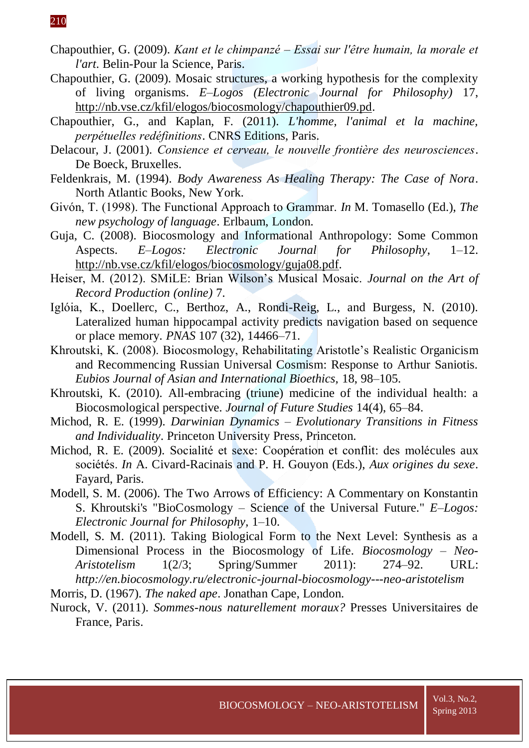- Chapouthier, G. (2009). *Kant et le chimpanzé – Essai sur l'être humain, la morale et l'art*. Belin-Pour la Science, Paris.
- Chapouthier, G. (2009). Mosaic structures, a working hypothesis for the complexity of living organisms. *E–Logos (Electronic Journal for Philosophy)* 17, [http://nb.vse.cz/kfil/elogos/biocosmology/chapouthier09.pd.](http://nb.vse.cz/kfil/elogos/biocosmology/chapouthier09.pd)
- Chapouthier, G., and Kaplan, F. (2011). *L'homme, l'animal et la machine, perpétuelles redéfinitions*. CNRS Editions, Paris.
- Delacour, J. (2001). *Consience et cerveau, le nouvelle frontière des neurosciences*. De Boeck, Bruxelles.
- Feldenkrais, M. (1994). *Body Awareness As Healing Therapy: The Case of Nora*. North Atlantic Books, New York.
- Givón, T. (1998). The Functional Approach to Grammar. *In* M. Tomasello (Ed.), *The new psychology of language*. Erlbaum, London.
- Guja, C. (2008). Biocosmology and Informational Anthropology: Some Common Aspects. *E–Logos: Electronic Journal for Philosophy*, 1–12. [http://nb.vse.cz/kfil/elogos/biocosmology/guja08.pdf.](http://nb.vse.cz/kfil/elogos/biocosmology/guja08.pdf)
- Heiser, M. (2012). SMiLE: Brian Wilson's Musical Mosaic. *Journal on the Art of Record Production (online)* 7.
- Iglóia, K., Doellerc, C., Berthoz, A., Rondi-Reig, L., and Burgess, N. (2010). Lateralized human hippocampal activity predicts navigation based on sequence or place memory. *PNAS* 107 (32), 14466–71.
- Khroutski, K. (2008). Biocosmology, Rehabilitating Aristotle's Realistic Organicism and Recommencing Russian Universal Cosmism: Response to Arthur Saniotis. *Eubios Journal of Asian and International Bioethics,* 18, 98–105.
- Khroutski, K. (2010). All-embracing (triune) medicine of the individual health: a Biocosmological perspective. *Journal of Future Studies* 14(4), 65–84.
- Michod, R. E. (1999). *Darwinian Dynamics – Evolutionary Transitions in Fitness and Individuality*. Princeton University Press, Princeton.
- Michod, R. E. (2009). Socialité et sexe: Coopération et conflit: des molécules aux sociétés. *In* A. Civard-Racinais and P. H. Gouyon (Eds.), *Aux origines du sexe*. Fayard, Paris.
- Modell, S. M. (2006). The Two Arrows of Efficiency: A Commentary on Konstantin S. Khroutski's "BioCosmology – Science of the Universal Future." *E–Logos: Electronic Journal for Philosophy,* 1–10.
- Modell, S. M. (2011). Taking Biological Form to the Next Level: Synthesis as a Dimensional Process in the Biocosmology of Life. *Biocosmology – Neo-Aristotelism* 1(2/3; Spring/Summer 2011): 274–92. URL: *<http://en.biocosmology.ru/electronic-journal-biocosmology---neo-aristotelism>*

Morris, D. (1967). *The naked ape*. Jonathan Cape, London.

Nurock, V. (2011). *Sommes-nous naturellement moraux?* Presses Universitaires de France, Paris.